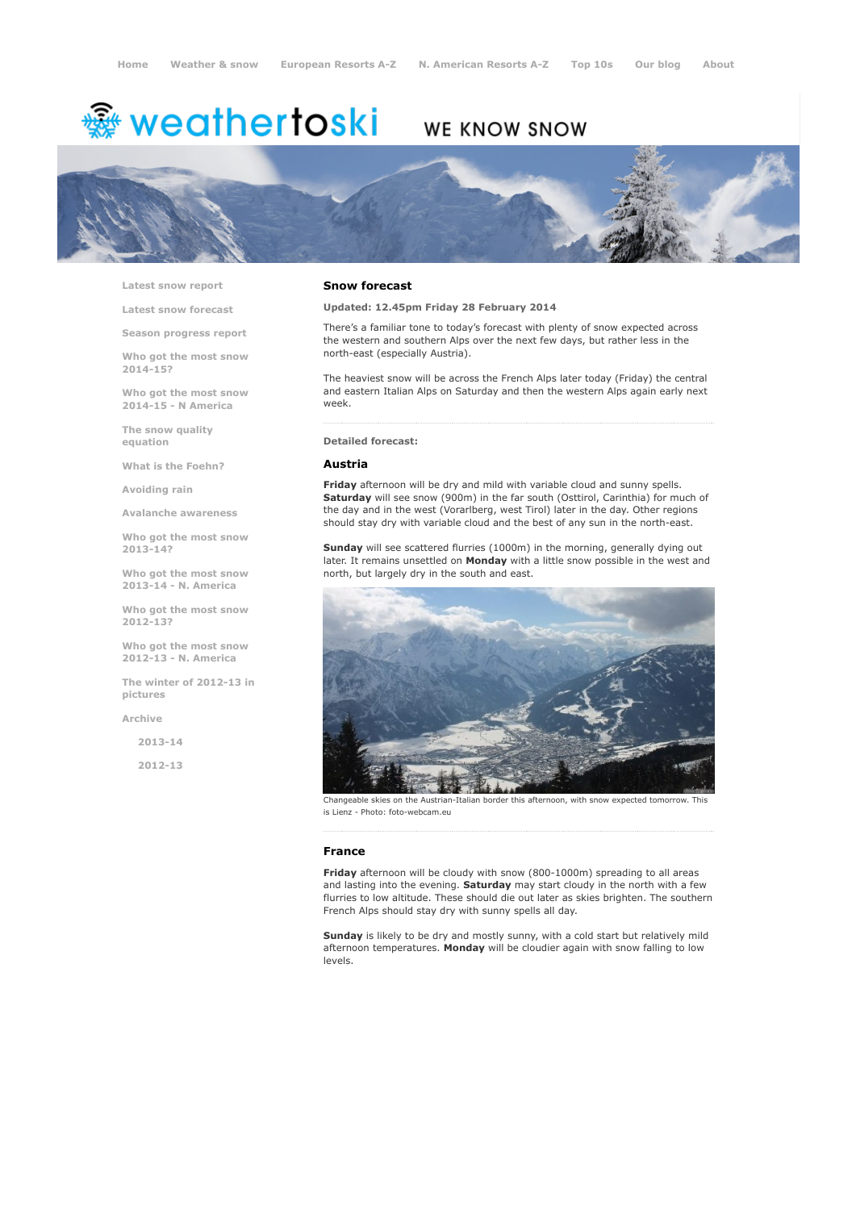# <del>鑾</del> weathertoski

## WE KNOW SNOW



Latest snow [report](http://www.weathertoski.co.uk/weather-snow/latest-snow-report/)

Latest snow [forecast](http://www.weathertoski.co.uk/weather-snow/latest-snow-forecast/)

Season [progress](http://www.weathertoski.co.uk/weather-snow/season-progress-report/) report

Who got the most snow 2014-15?

Who got the most snow 2014-15 - N America

The snow quality [equation](http://www.weathertoski.co.uk/weather-snow/the-snow-quality-equation/)

What is the [Foehn?](http://www.weathertoski.co.uk/weather-snow/what-is-the-foehn/)

[Avoiding](http://www.weathertoski.co.uk/weather-snow/avoiding-rain/) rain

Avalanche [awareness](http://www.weathertoski.co.uk/weather-snow/avalanche-awareness/)

Who got the most snow 2013-14?

Who got the most snow 2013-14 - N. America

Who got the most snow 2012-13?

Who got the most snow 2012-13 - N. America

The winter of 2012-13 in pictures

[Archive](http://www.weathertoski.co.uk/weather-snow/archive/)

2013-14

2012-13

### Snow forecast

Updated: 12.45pm Friday 28 February 2014

There's a familiar tone to today's forecast with plenty of snow expected across the western and southern Alps over the next few days, but rather less in the north-east (especially Austria).

The heaviest snow will be across the French Alps later today (Friday) the central and eastern Italian Alps on Saturday and then the western Alps again early next week.

Detailed forecast:

### Austria

Friday afternoon will be dry and mild with variable cloud and sunny spells. Saturday will see snow (900m) in the far south (Osttirol, Carinthia) for much of the day and in the west (Vorarlberg, west Tirol) later in the day. Other regions should stay dry with variable cloud and the best of any sun in the north-east.

Sunday will see scattered flurries (1000m) in the morning, generally dying out later. It remains unsettled on Monday with a little snow possible in the west and north, but largely dry in the south and east.



Changeable skies on the Austrian-Italian border this afternoon, with snow expected tomorrow. This is Lienz - Photo: foto-webcam.eu

### France

Friday afternoon will be cloudy with snow (800-1000m) spreading to all areas and lasting into the evening. Saturday may start cloudy in the north with a few flurries to low altitude. These should die out later as skies brighten. The southern French Alps should stay dry with sunny spells all day.

Sunday is likely to be dry and mostly sunny, with a cold start but relatively mild afternoon temperatures. Monday will be cloudier again with snow falling to low levels.